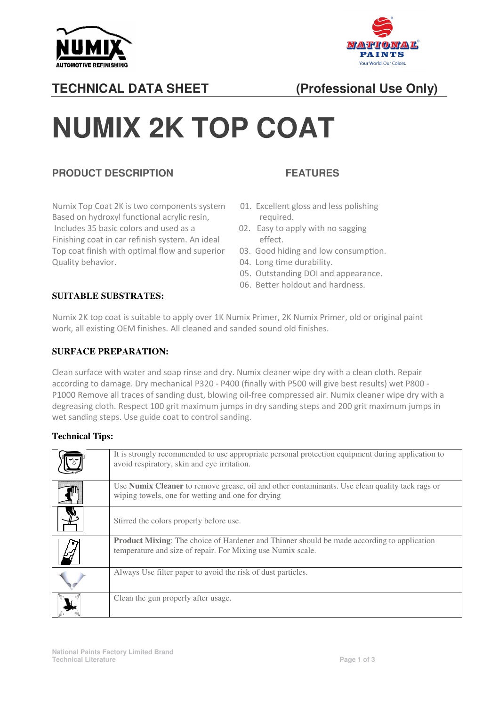



# **TECHNICAL DATA SHEET**

# **(Professional Use Only)**

# **NUMIX 2K TOP COAT**

#### **PRODUCT DESCRIPTION**

Numix Top Coat 2K is two components system Based on hydroxyl functional acrylic resin. The required. Includes 35 basic colors and used as a 02. Easy to apply with no sagging Finishing coat in car refinish system. An ideal effect. Top coat finish with optimal flow and superior Quality behavior. Case of the control of the durability.

### **FEATURES**

- 01. Excellent gloss and less polishing
- 
- 03. Good hiding and low consumption.
- 
- 05. Outstanding DOI and appearance.
- 06. Better holdout and hardness.

#### **SUITABLE SUBSTRATES:**

Numix 2K top coat is suitable to apply over 1K Numix Primer, 2K Numix Primer, old or original paint work, all existing OEM finishes. All cleaned and sanded sound old finishes.

#### **SURFACE PREPARATION:**

Clean surface with water and soap rinse and dry. Numix cleaner wipe dry with a clean cloth. Repair Clean surface with water and soap rinse and dry. Numix cleaner wipe dry with a clean cloth. Repair<br>according to damage. Dry mechanical P320 - P400 (finally with P500 will give best results) wet P800 -P1000 Remove all traces of sanding dust, blowing oil-free compressed air. Numix cleaner wipe dry with a degreasing cloth. Respect 100 grit maximum jumps in dry sanding steps and 200 grit maximum jumps in wet sanding steps. Use guide coat to control sanding.

#### **Technical Tips:**

| It is strongly recommended to use appropriate personal protection equipment during application to<br>avoid respiratory, skin and eye irritation.                 |
|------------------------------------------------------------------------------------------------------------------------------------------------------------------|
| Use Numix Cleaner to remove grease, oil and other contaminants. Use clean quality tack rags or<br>wiping towels, one for wetting and one for drying              |
| Stirred the colors properly before use.                                                                                                                          |
| <b>Product Mixing:</b> The choice of Hardener and Thinner should be made according to application<br>temperature and size of repair. For Mixing use Numix scale. |
| Always Use filter paper to avoid the risk of dust particles.                                                                                                     |
| Clean the gun properly after usage.                                                                                                                              |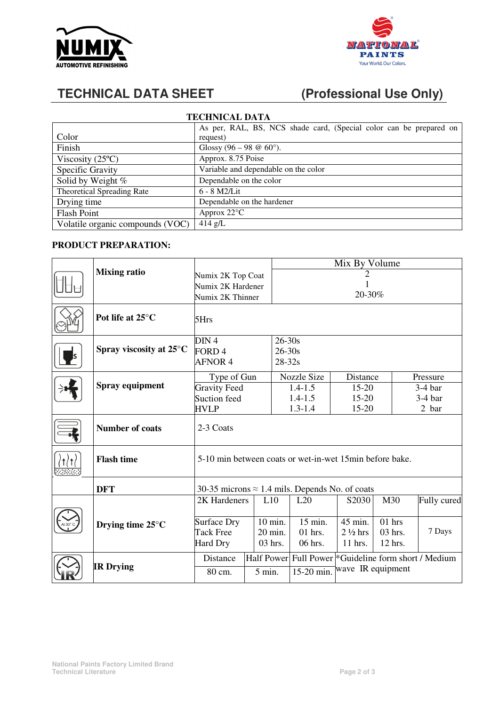



# **TECHNICAL DATA SHEET (Professional Use Only)**

| <b>TECHNICAL DATA</b>             |                                                                    |  |  |  |  |  |  |
|-----------------------------------|--------------------------------------------------------------------|--|--|--|--|--|--|
|                                   | As per, RAL, BS, NCS shade card, (Special color can be prepared on |  |  |  |  |  |  |
| Color                             | request)                                                           |  |  |  |  |  |  |
| Finish                            | Glossy (96 – 98 @ 60 $^{\circ}$ ).                                 |  |  |  |  |  |  |
| Viscosity $(25^{\circ}C)$         | Approx. 8.75 Poise                                                 |  |  |  |  |  |  |
| Specific Gravity                  | Variable and dependable on the color                               |  |  |  |  |  |  |
| Solid by Weight %                 | Dependable on the color                                            |  |  |  |  |  |  |
| <b>Theoretical Spreading Rate</b> | $6 - 8$ M2/Lit                                                     |  |  |  |  |  |  |
| Drying time                       | Dependable on the hardener                                         |  |  |  |  |  |  |
| <b>Flash Point</b>                | Approx $22^{\circ}$ C                                              |  |  |  |  |  |  |
| Volatile organic compounds (VOC)  | $414$ g/L                                                          |  |  |  |  |  |  |

#### **PRODUCT PREPARATION:**

|                            |                                                          |                   | Mix By Volume |             |                                                                  |                   |           |             |  |
|----------------------------|----------------------------------------------------------|-------------------|---------------|-------------|------------------------------------------------------------------|-------------------|-----------|-------------|--|
| <b>Mixing ratio</b>        | Numix 2K Top Coat                                        |                   |               | 2           |                                                                  |                   |           |             |  |
|                            |                                                          | Numix 2K Hardener |               |             |                                                                  |                   |           |             |  |
|                            | 20-30%<br>Numix 2K Thinner                               |                   |               |             |                                                                  |                   |           |             |  |
| Pot life at 25°C           | 5Hrs                                                     |                   |               |             |                                                                  |                   |           |             |  |
|                            | DIN <sub>4</sub>                                         |                   |               | $26 - 30s$  |                                                                  |                   |           |             |  |
| Spray viscosity at 25°C    | FORD <sub>4</sub>                                        |                   | $26 - 30s$    |             |                                                                  |                   |           |             |  |
|                            | <b>AFNOR 4</b>                                           |                   |               | $28 - 32s$  |                                                                  |                   |           |             |  |
|                            | Type of Gun                                              |                   |               | Nozzle Size | Distance                                                         |                   | Pressure  |             |  |
| Spray equipment            | <b>Gravity Feed</b>                                      |                   |               | $1.4 - 1.5$ | 15-20                                                            |                   | $3-4$ bar |             |  |
|                            | Suction feed                                             |                   |               | $1.4 - 1.5$ | $15 - 20$                                                        |                   |           | $3-4bar$    |  |
|                            | <b>HVLP</b>                                              |                   |               | $1.3 - 1.4$ | 15-20                                                            |                   | 2 bar     |             |  |
| <b>Number of coats</b>     | 2-3 Coats                                                |                   |               |             |                                                                  |                   |           |             |  |
| <b>Flash time</b>          | 5-10 min between coats or wet-in-wet 15 min before bake. |                   |               |             |                                                                  |                   |           |             |  |
| <b>DFT</b>                 | 30-35 microns $\approx$ 1.4 mils. Depends No. of coats   |                   |               |             |                                                                  |                   |           |             |  |
|                            | 2K Hardeners                                             |                   | L10           | L20         | S2030                                                            | M30               |           | Fully cured |  |
|                            |                                                          |                   |               |             |                                                                  |                   |           |             |  |
| Drying time $25^{\circ}$ C | Surface Dry                                              |                   | 10 min.       | $15$ min.   | 45 min.                                                          | $01$ hrs          |           |             |  |
|                            | <b>Tack Free</b>                                         |                   | 20 min.       | $01$ hrs.   | $2\frac{1}{2}$ hrs                                               | 03 hrs.           |           | 7 Days      |  |
|                            | Hard Dry                                                 |                   | 03 hrs.       | 06 hrs.     | 11 hrs.                                                          | 12 hrs.           |           |             |  |
|                            | Distance                                                 |                   |               |             | Half Power Full Power <sup>*</sup> Guideline form short / Medium |                   |           |             |  |
| <b>IR Drying</b>           | 80 cm.                                                   | $5 \text{ min.}$  |               | 15-20 min.  |                                                                  | wave IR equipment |           |             |  |